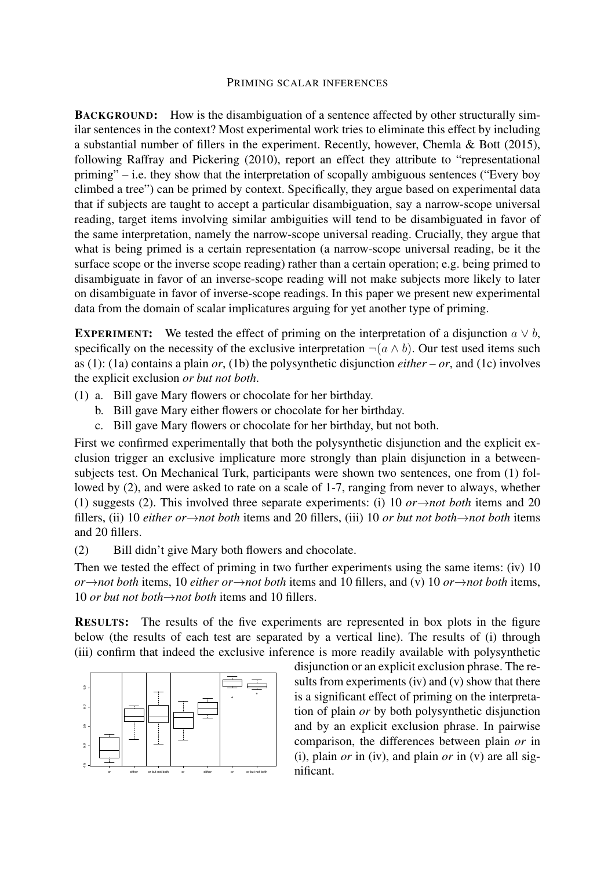## PRIMING SCALAR INFERENCES

BACKGROUND: How is the disambiguation of a sentence affected by other structurally similar sentences in the context? Most experimental work tries to eliminate this effect by including a substantial number of fillers in the experiment. Recently, however, Chemla & Bott (2015), following Raffray and Pickering (2010), report an effect they attribute to "representational priming" – i.e. they show that the interpretation of scopally ambiguous sentences ("Every boy climbed a tree") can be primed by context. Specifically, they argue based on experimental data that if subjects are taught to accept a particular disambiguation, say a narrow-scope universal reading, target items involving similar ambiguities will tend to be disambiguated in favor of the same interpretation, namely the narrow-scope universal reading. Crucially, they argue that what is being primed is a certain representation (a narrow-scope universal reading, be it the surface scope or the inverse scope reading) rather than a certain operation; e.g. being primed to disambiguate in favor of an inverse-scope reading will not make subjects more likely to later on disambiguate in favor of inverse-scope readings. In this paper we present new experimental data from the domain of scalar implicatures arguing for yet another type of priming.

EXPERIMENT: We tested the effect of priming on the interpretation of a disjunction  $a \vee b$ , specifically on the necessity of the exclusive interpretation  $\neg(a \land b)$ . Our test used items such as (1): (1a) contains a plain *or*, (1b) the polysynthetic disjunction *either – or*, and (1c) involves the explicit exclusion *or but not both*.

- (1) a. Bill gave Mary flowers or chocolate for her birthday.
	- b. Bill gave Mary either flowers or chocolate for her birthday.
	- c. Bill gave Mary flowers or chocolate for her birthday, but not both.

First we confirmed experimentally that both the polysynthetic disjunction and the explicit exclusion trigger an exclusive implicature more strongly than plain disjunction in a betweensubjects test. On Mechanical Turk, participants were shown two sentences, one from (1) followed by (2), and were asked to rate on a scale of 1-7, ranging from never to always, whether (1) suggests (2). This involved three separate experiments: (i) 10 *or*→*not both* items and 20 fillers, (ii) 10 *either or*→*not both* items and 20 fillers, (iii) 10 *or but not both*→*not both* items and 20 fillers.

(2) Bill didn't give Mary both flowers and chocolate.

Then we tested the effect of priming in two further experiments using the same items: (iv) 10 *or*→*not both* items, 10 *either or*→*not both* items and 10 fillers, and (v) 10 *or*→*not both* items, 10 *or but not both*→*not both* items and 10 fillers.

RESULTS: The results of the five experiments are represented in box plots in the figure below (the results of each test are separated by a vertical line). The results of (i) through (iii) confirm that indeed the exclusive inference is more readily available with polysynthetic



disjunction or an explicit exclusion phrase. The results from experiments (iv) and (v) show that there is a significant effect of priming on the interpretation of plain *or* by both polysynthetic disjunction and by an explicit exclusion phrase. In pairwise comparison, the differences between plain *or* in (i), plain *or* in (iv), and plain *or* in (v) are all significant.